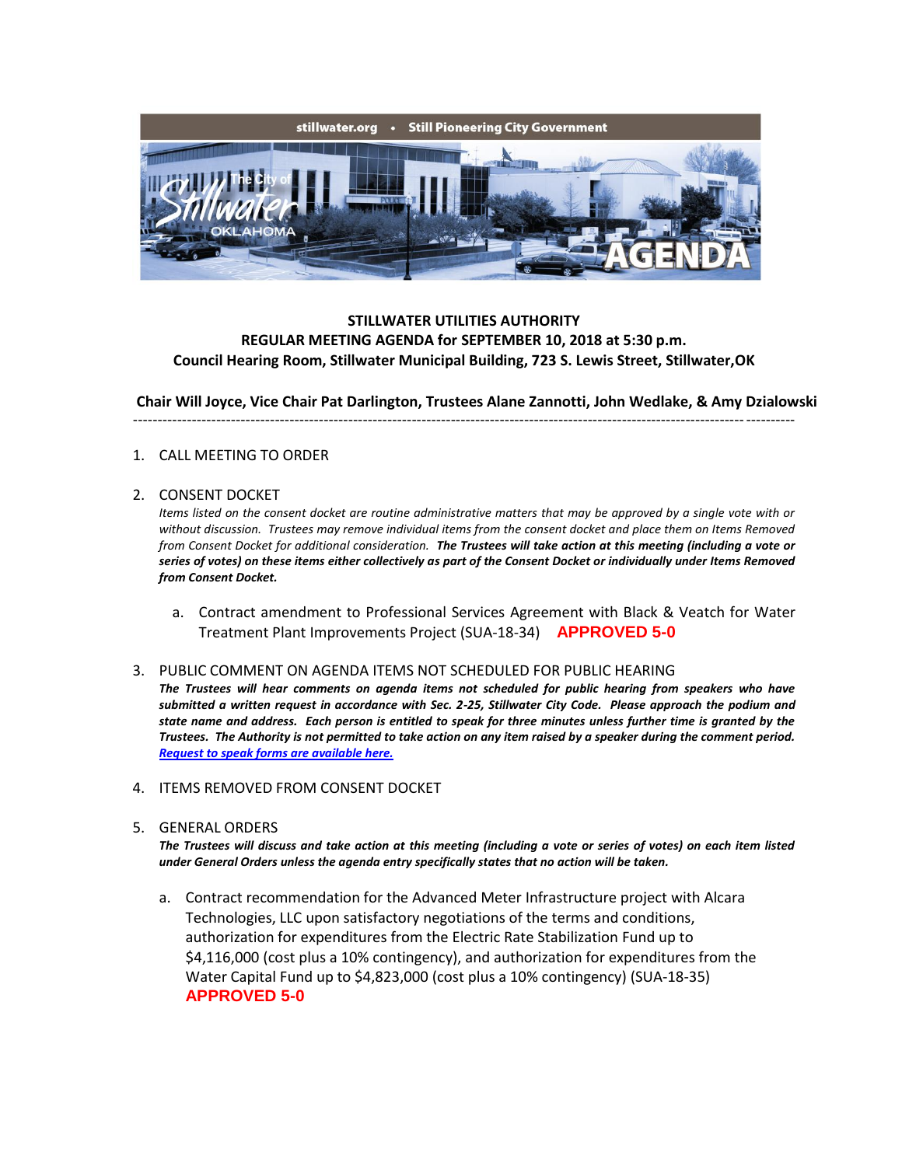

## **STILLWATER UTILITIES AUTHORITY REGULAR MEETING AGENDA for SEPTEMBER 10, 2018 at 5:30 p.m. Council Hearing Room, Stillwater Municipal Building, 723 S. Lewis Street, Stillwater,OK**

**Chair Will Joyce, Vice Chair Pat Darlington, Trustees Alane Zannotti, John Wedlake, & Amy Dzialowski** ---------------------------------------------------------------------------------------------------------------------------------------

### 1. CALL MEETING TO ORDER

### 2. CONSENT DOCKET

*Items listed on the consent docket are routine administrative matters that may be approved by a single vote with or without discussion. Trustees may remove individual items from the consent docket and place them on Items Removed from Consent Docket for additional consideration. The Trustees will take action at this meeting (including a vote or series of votes) on these items either collectively as part of the Consent Docket or individually under Items Removed from Consent Docket.*

a. Contract amendment to Professional Services Agreement with Black & Veatch for Water Treatment Plant Improvements Project (SUA-18-34) **APPROVED 5-0**

#### 3. PUBLIC COMMENT ON AGENDA ITEMS NOT SCHEDULED FOR PUBLIC HEARING

*The Trustees will hear comments on agenda items not scheduled for public hearing from speakers who have submitted a written request in accordance with Sec. 2-25, Stillwater City Code. Please approach the podium and state name and address. Each person is entitled to speak for three minutes unless further time is granted by the Trustees. The Authority is not permitted to take action on any item raised by a speaker during the comment period. [Request to speak forms are available here.](http://stillwater.org/document/request_to_speak_at_city_council.php)*

- 4. ITEMS REMOVED FROM CONSENT DOCKET
- 5. GENERAL ORDERS

*The Trustees will discuss and take action at this meeting (including a vote or series of votes) on each item listed under General Orders unless the agenda entry specifically states that no action will be taken.*

a. Contract recommendation for the Advanced Meter Infrastructure project with Alcara Technologies, LLC upon satisfactory negotiations of the terms and conditions, authorization for expenditures from the Electric Rate Stabilization Fund up to \$4,116,000 (cost plus a 10% contingency), and authorization for expenditures from the Water Capital Fund up to \$4,823,000 (cost plus a 10% contingency) (SUA-18-35) **APPROVED 5-0**